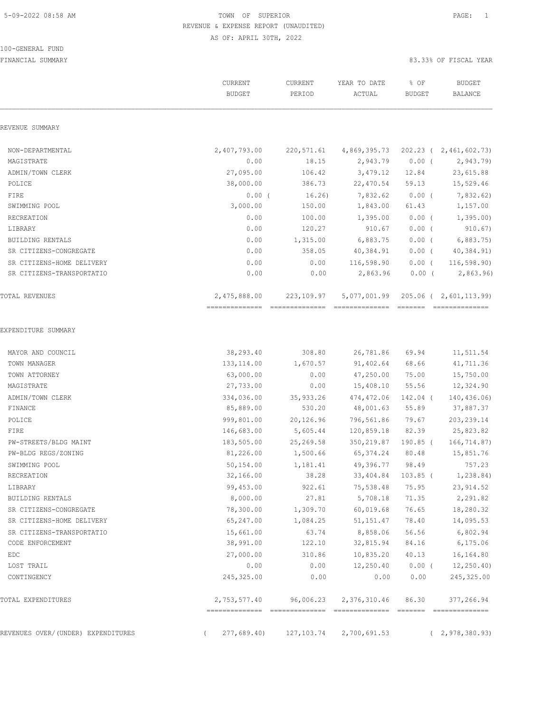# 100-GENERAL FUND

|                                    | CURRENT<br><b>BUDGET</b> | CURRENT<br>PERIOD | YEAR TO DATE<br>ACTUAL | % OF<br><b>BUDGET</b> | <b>BUDGET</b><br>BALANCE                  |
|------------------------------------|--------------------------|-------------------|------------------------|-----------------------|-------------------------------------------|
| REVENUE SUMMARY                    |                          |                   |                        |                       |                                           |
| NON-DEPARTMENTAL                   | 2,407,793.00             | 220,571.61        | 4,869,395.73           |                       | 202.23 ( 2,461,602.73)                    |
| MAGISTRATE                         | 0.00                     | 18.15             | 2,943.79               | $0.00$ (              | 2,943.79)                                 |
| ADMIN/TOWN CLERK                   | 27,095.00                | 106.42            | 3,479.12               | 12.84                 | 23,615.88                                 |
| POLICE                             | 38,000.00                | 386.73            | 22,470.54              | 59.13                 | 15,529.46                                 |
| FIRE                               | 0.00(                    | 16.26)            | 7,832.62               | $0.00$ (              | 7,832.62)                                 |
| SWIMMING POOL                      | 3,000.00                 | 150.00            | 1,843.00               | 61.43                 | 1,157.00                                  |
| RECREATION                         | 0.00                     | 100.00            | 1,395.00               | $0.00$ (              | 1,395.00                                  |
| LIBRARY                            | 0.00                     | 120.27            | 910.67                 | $0.00$ (              | 910.67)                                   |
| <b>BUILDING RENTALS</b>            | 0.00                     | 1,315.00          | 6,883.75               | $0.00$ (              | 6,883.75                                  |
| SR CITIZENS-CONGREGATE             | 0.00                     | 358.05            | 40,384.91              | $0.00$ (              | 40,384.91)                                |
| SR CITIZENS-HOME DELIVERY          | 0.00                     | 0.00              | 116,598.90             | $0.00$ (              | 116, 598.90)                              |
| SR CITIZENS-TRANSPORTATIO          | 0.00                     | 0.00              | 2,863.96               | $0.00$ (              | 2,863.96                                  |
| TOTAL REVENUES                     | 2,475,888.00             | 223,109.97        | 5,077,001.99           |                       | 205.06 ( 2,601,113.99)<br>--------------- |
| EXPENDITURE SUMMARY                |                          |                   |                        |                       |                                           |
| MAYOR AND COUNCIL                  | 38,293.40                | 308.80            | 26,781.86              | 69.94                 | 11,511.54                                 |
| TOWN MANAGER                       | 133, 114.00              | 1,670.57          | 91,402.64              | 68.66                 | 41,711.36                                 |
| TOWN ATTORNEY                      | 63,000.00                | 0.00              | 47,250.00              | 75.00                 | 15,750.00                                 |
| MAGISTRATE                         | 27,733.00                | 0.00              | 15,408.10              | 55.56                 | 12,324.90                                 |
| ADMIN/TOWN CLERK                   | 334,036.00               | 35,933.26         | 474,472.06             | 142.04 (              | 140, 436.06                               |
| FINANCE                            | 85,889.00                | 530.20            | 48,001.63              | 55.89                 | 37,887.37                                 |
| POLICE                             | 999,801.00               | 20,126.96         | 796,561.86             | 79.67                 | 203, 239.14                               |
| FIRE                               | 146,683.00               | 5,605.44          | 120,859.18             | 82.39                 | 25,823.82                                 |
| PW-STREETS/BLDG MAINT              | 183,505.00               | 25,269.58         | 350, 219.87            | 190.85 (              | 166,714.87)                               |
| PW-BLDG REGS/ZONING                | 81,226.00                | 1,500.66          | 65,374.24              | 80.48                 | 15,851.76                                 |
| SWIMMING POOL                      | 50,154.00                | 1,181.41          | 49,396.77              | 98.49                 | 757.23                                    |
| RECREATION                         | 32,166.00                | 38.28             | 33,404.84 103.85 (     |                       | 1,238.84)                                 |
| LIBRARY                            | 99,453.00                | 922.61            | 75,538.48              | 75.95                 | 23, 914.52                                |
| BUILDING RENTALS                   | 8,000.00                 | 27.81             | 5,708.18               | 71.35                 | 2,291.82                                  |
| SR CITIZENS-CONGREGATE             | 78,300.00                | 1,309.70          | 60,019.68              | 76.65                 | 18,280.32                                 |
| SR CITIZENS-HOME DELIVERY          | 65,247.00                | 1,084.25          | 51, 151.47             | 78.40                 | 14,095.53                                 |
| SR CITIZENS-TRANSPORTATIO          | 15,661.00                | 63.74             | 8,858.06               | 56.56                 | 6,802.94                                  |
| CODE ENFORCEMENT                   | 38,991.00                | 122.10            | 32,815.94              | 84.16                 | 6, 175.06                                 |
| EDC                                | 27,000.00                | 310.86            | 10,835.20              | 40.13                 | 16,164.80                                 |
| LOST TRAIL                         | 0.00                     | 0.00              | 12,250.40              | $0.00$ (              | 12, 250.40                                |
| CONTINGENCY                        | 245,325.00               | 0.00              | 0.00                   | 0.00                  | 245, 325.00                               |
| TOTAL EXPENDITURES                 | 2,753,577.40             | 96,006.23         | 2,376,310.46           | 86.30                 | 377,266.94                                |
| REVENUES OVER/(UNDER) EXPENDITURES | 277,689.40               | 127,103.74        | 2,700,691.53           |                       | (2, 978, 380.93)                          |
|                                    |                          |                   |                        |                       |                                           |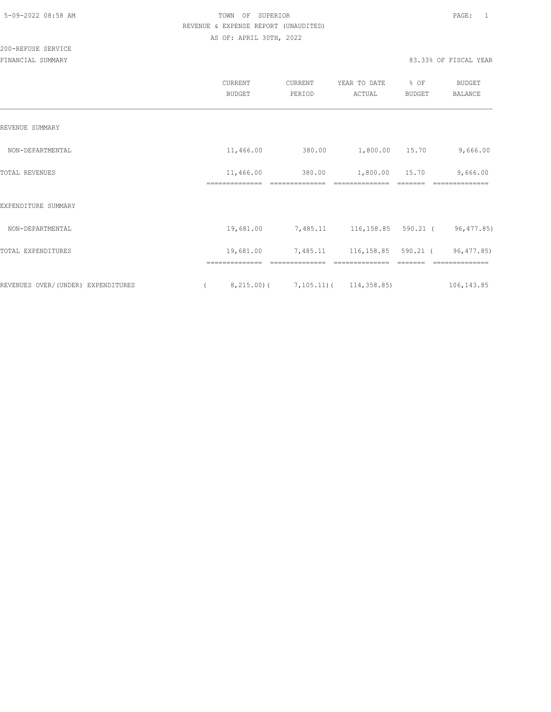|                                    | CURRENT<br><b>BUDGET</b> | CURRENT<br>PERIOD | YEAR TO DATE<br>ACTUAL       | % OF<br><b>BUDGET</b> | <b>BUDGET</b><br><b>BALANCE</b> |
|------------------------------------|--------------------------|-------------------|------------------------------|-----------------------|---------------------------------|
| REVENUE SUMMARY                    |                          |                   |                              |                       |                                 |
| NON-DEPARTMENTAL                   | 11,466.00                | 380.00            | 1,800.00 15.70               |                       | 9,666.00                        |
| TOTAL REVENUES                     | 11,466.00                | 380.00            | 1,800.00                     | 15.70                 | 9,666.00                        |
| EXPENDITURE SUMMARY                |                          |                   |                              |                       |                                 |
| NON-DEPARTMENTAL                   | 19,681.00                |                   | 7,485.11 116,158.85 590.21 ( |                       | 96,477.85)                      |
| TOTAL EXPENDITURES                 | 19,681.00                | 7,485.11          | 116,158.85 590.21 (          |                       | 96,477.85)                      |
| REVENUES OVER/(UNDER) EXPENDITURES | 8,215.00(                |                   | 7, 105. 11) ( 114, 358. 85)  |                       | 106, 143.85                     |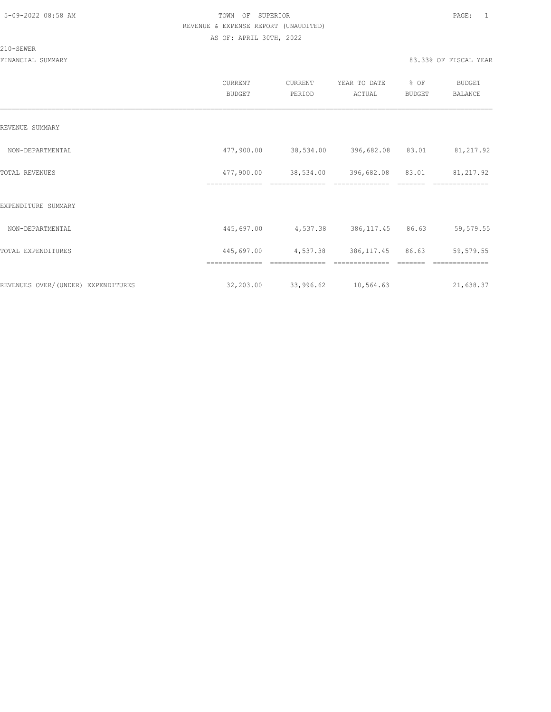#### 210-SEWER

|                                     | CURRENT<br><b>BUDGET</b> | CURRENT<br>PERIOD | YEAR TO DATE<br>ACTUAL     | % OF<br><b>BUDGET</b> | <b>BUDGET</b><br>BALANCE |
|-------------------------------------|--------------------------|-------------------|----------------------------|-----------------------|--------------------------|
| REVENUE SUMMARY                     |                          |                   |                            |                       |                          |
| NON-DEPARTMENTAL                    | 477,900.00               |                   | 38,534.00 396,682.08 83.01 |                       | 81, 217.92               |
| TOTAL REVENUES                      | 477,900.00               |                   | 38,534.00 396,682.08 83.01 |                       | 81, 217.92               |
| EXPENDITURE SUMMARY                 | ==============           | ==============    | ==============             |                       | ==============           |
| NON-DEPARTMENTAL                    | 445,697.00               |                   | 4,537.38 386,117.45 86.63  |                       | 59,579.55                |
| TOTAL EXPENDITURES                  | 445,697.00               | 4,537.38          | 386,117.45                 | 86.63                 | 59,579.55                |
|                                     | ==============           |                   |                            |                       |                          |
| REVENUES OVER/ (UNDER) EXPENDITURES | 32,203.00                | 33,996.62         | 10,564.63                  |                       | 21,638.37                |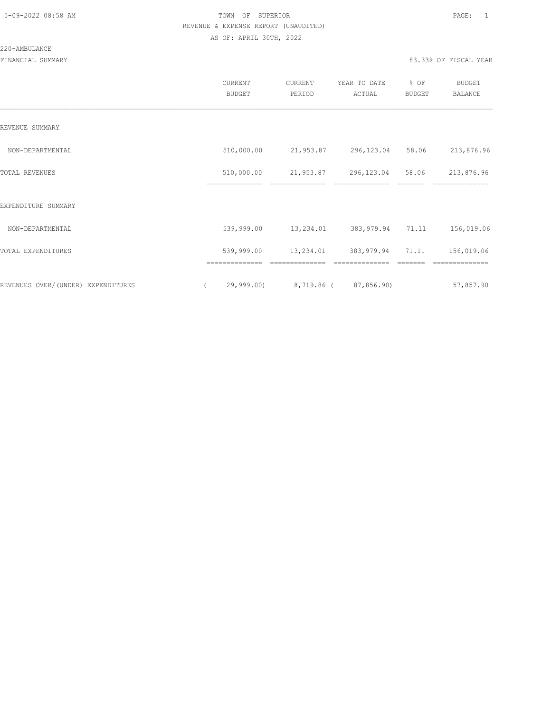#### 220-AMBULANCE

|                                     |          | <b>CURRENT</b><br><b>BUDGET</b> | CURRENT<br>PERIOD           | YEAR TO DATE<br>ACTUAL | % OF<br><b>BUDGET</b> | <b>BUDGET</b><br>BALANCE |
|-------------------------------------|----------|---------------------------------|-----------------------------|------------------------|-----------------------|--------------------------|
| REVENUE SUMMARY                     |          |                                 |                             |                        |                       |                          |
| NON-DEPARTMENTAL                    |          | 510,000.00                      | 21,953.87                   | 296,123.04             | 58.06                 | 213,876.96               |
| TOTAL REVENUES                      |          | 510,000.00<br>==============    | 21,953.87<br>-------------- | 296, 123.04            | 58.06                 | 213,876.96               |
| EXPENDITURE SUMMARY                 |          |                                 |                             |                        |                       |                          |
| NON-DEPARTMENTAL                    |          | 539,999.00                      | 13,234.01                   | 383,979.94 71.11       |                       | 156,019.06               |
| TOTAL EXPENDITURES                  |          | 539,999.00                      | 13,234.01                   | 383, 979.94 71.11      |                       | 156,019.06               |
|                                     |          | ==============                  | ==============              | ==============         |                       | ==============           |
| REVENUES OVER/ (UNDER) EXPENDITURES | $\left($ | 29,999.00)                      | 8,719.86 (87,856.90)        |                        |                       | 57,857.90                |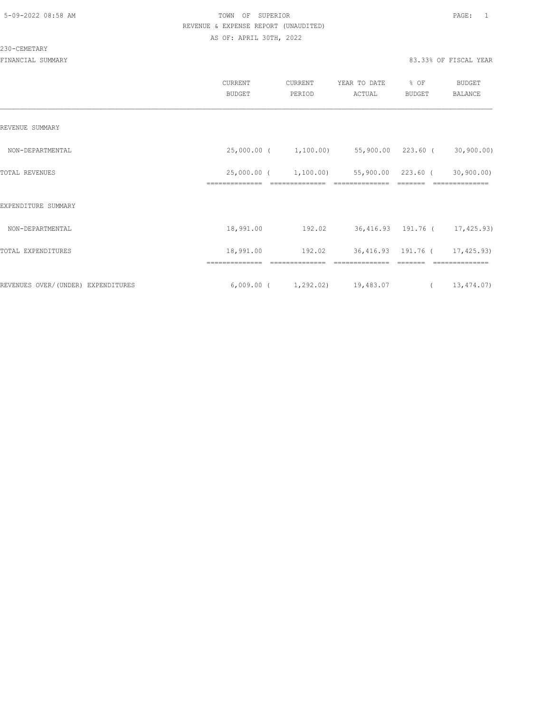#### 230-CEMETARY

|                                    | CURRENT<br>BUDGET | CURRENT<br>PERIOD                        | YEAR TO DATE<br>ACTUAL                              | % OF<br>BUDGET                | BUDGET<br>BALANCE            |
|------------------------------------|-------------------|------------------------------------------|-----------------------------------------------------|-------------------------------|------------------------------|
| REVENUE SUMMARY                    |                   |                                          |                                                     |                               |                              |
| NON-DEPARTMENTAL                   |                   |                                          | 25,000.00 ( 1,100.00) 55,900.00 223.60 ( 30,900.00) |                               |                              |
| TOTAL REVENUES                     | --------------    | 25,000.00 ( 1,100.00)<br>--------------- | ---------------                                     | 55,900.00 223.60 (<br>------- | 30,900.00)<br>-------------- |
| EXPENDITURE SUMMARY                |                   |                                          |                                                     |                               |                              |
| NON-DEPARTMENTAL                   | 18,991.00         | 192.02                                   | 36,416.93 191.76 ( 17,425.93)                       |                               |                              |
| TOTAL EXPENDITURES                 | 18,991.00         | 192.02                                   | 36,416.93 191.76 ( 17,425.93)                       |                               |                              |
|                                    |                   |                                          |                                                     |                               |                              |
| REVENUES OVER/(UNDER) EXPENDITURES |                   |                                          | $6,009.00$ ( $1,292.02$ ) 19,483.07                 |                               | (13, 474.07)                 |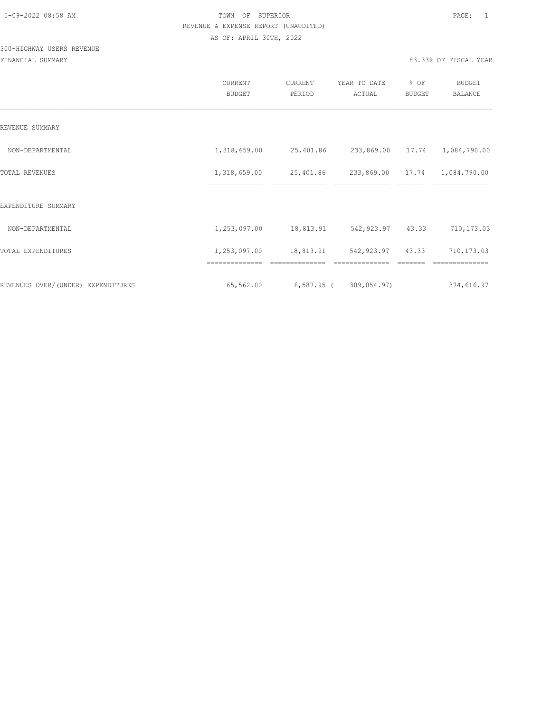# 300-HIGHWAY USERS REVENUE

|                                    | CURRENT<br><b>BUDGET</b>       | CURRENT<br>PERIOD | YEAR TO DATE<br>ACTUAL                  | % OF<br>BUDGET | BUDGET<br><b>BALANCE</b> |
|------------------------------------|--------------------------------|-------------------|-----------------------------------------|----------------|--------------------------|
| REVENUE SUMMARY                    |                                |                   |                                         |                |                          |
| NON-DEPARTMENTAL                   | 1,318,659.00                   |                   | 25,401.86 233,869.00 17.74 1,084,790.00 |                |                          |
| TOTAL REVENUES                     | 1,318,659.00<br>============== | 25,401.86         | 233,869.00                              | 17.74          | 1,084,790.00             |
| EXPENDITURE SUMMARY                |                                |                   |                                         |                |                          |
| NON-DEPARTMENTAL                   | 1,253,097.00                   | 18,813.91         | 542,923.97 43.33                        |                | 710,173.03               |
| TOTAL EXPENDITURES                 | 1,253,097.00                   | 18,813.91         | 542, 923.97 43.33                       |                | 710,173.03               |
|                                    | ==============                 |                   | ==============                          |                | --------------           |
| REVENUES OVER/(UNDER) EXPENDITURES | 65,562.00                      |                   | $6,587.95$ ( 309,054.97)                |                | 374,616.97               |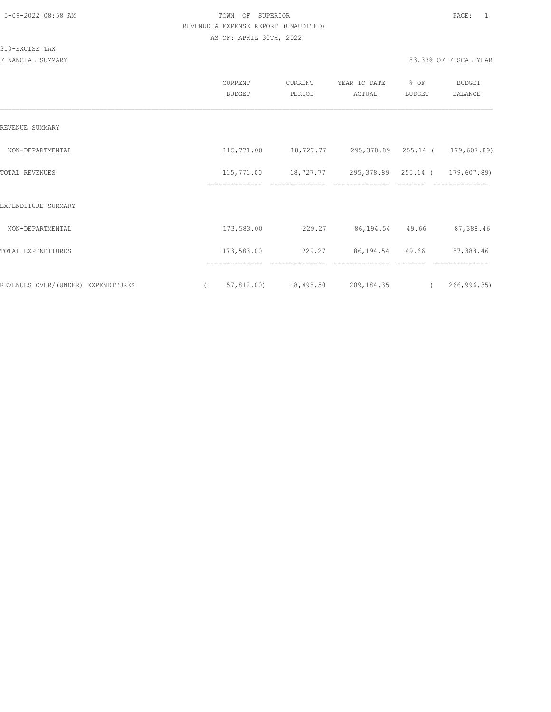310-EXCISE TAX

|                                    | <b>CURRENT</b><br><b>BUDGET</b> | CURRENT<br>PERIOD | YEAR TO DATE<br>ACTUAL                          | % OF<br><b>BUDGET</b> | BUDGET<br>BALANCE             |
|------------------------------------|---------------------------------|-------------------|-------------------------------------------------|-----------------------|-------------------------------|
| REVENUE SUMMARY                    |                                 |                   |                                                 |                       |                               |
| NON-DEPARTMENTAL                   | 115,771.00                      |                   | 18,727.77 295,378.89 255.14 (                   |                       | 179,607.89)                   |
| <b>TOTAL REVENUES</b>              | 115,771.00<br>==============    | ==============    | 18,727.77 295,378.89 255.14 (<br>============== |                       | 179,607.89)<br>============== |
| EXPENDITURE SUMMARY                |                                 |                   |                                                 |                       |                               |
| NON-DEPARTMENTAL                   | 173,583.00                      | 229.27            | 86, 194. 54 49. 66                              |                       | 87,388.46                     |
| TOTAL EXPENDITURES                 | 173,583.00                      | 229.27            | 86, 194. 54 49. 66                              |                       | 87,388.46                     |
| REVENUES OVER/(UNDER) EXPENDITURES | 57,812.00                       | 18,498.50         | 209,184.35                                      | $\sqrt{2}$            | 266, 996.35                   |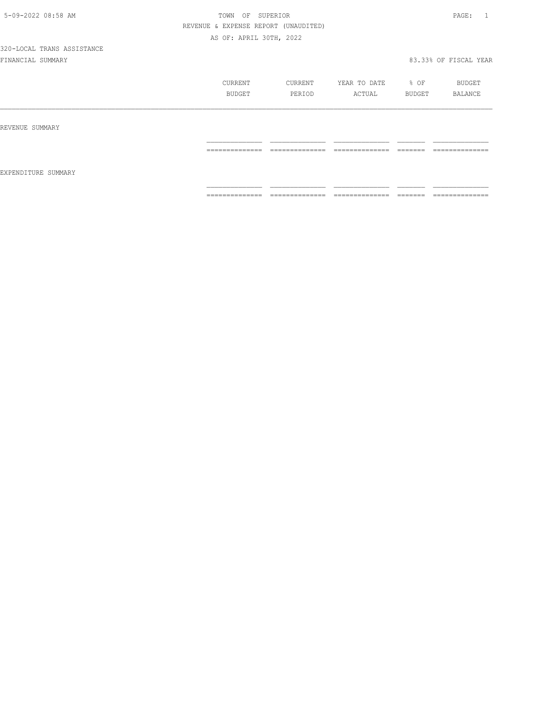|                     | CURRENT<br>BUDGET | CURRENT<br>PERIOD                                                                                                                                                                                                                                                                                                                                                                                                                                                                      | YEAR TO DATE<br>ACTUAL | % OF<br>BUDGET      | BUDGET<br>BALANCE                                                                                                                                                                                                                                                                                                                                                                                                                                                                            |
|---------------------|-------------------|----------------------------------------------------------------------------------------------------------------------------------------------------------------------------------------------------------------------------------------------------------------------------------------------------------------------------------------------------------------------------------------------------------------------------------------------------------------------------------------|------------------------|---------------------|----------------------------------------------------------------------------------------------------------------------------------------------------------------------------------------------------------------------------------------------------------------------------------------------------------------------------------------------------------------------------------------------------------------------------------------------------------------------------------------------|
| REVENUE SUMMARY     |                   |                                                                                                                                                                                                                                                                                                                                                                                                                                                                                        |                        |                     |                                                                                                                                                                                                                                                                                                                                                                                                                                                                                              |
|                     | ==============    | $\begin{array}{cccccccccc} \multicolumn{2}{c}{} & \multicolumn{2}{c}{} & \multicolumn{2}{c}{} & \multicolumn{2}{c}{} & \multicolumn{2}{c}{} & \multicolumn{2}{c}{} & \multicolumn{2}{c}{} & \multicolumn{2}{c}{} & \multicolumn{2}{c}{} & \multicolumn{2}{c}{} & \multicolumn{2}{c}{} & \multicolumn{2}{c}{} & \multicolumn{2}{c}{} & \multicolumn{2}{c}{} & \multicolumn{2}{c}{} & \multicolumn{2}{c}{} & \multicolumn{2}{c}{} & \multicolumn{2}{c}{} & \multicolumn{2}{c}{} & \mult$ | ==============         |                     | $\begin{array}{c} \multicolumn{2}{c} {\textbf{1}} & \multicolumn{2}{c} {\textbf{2}} & \multicolumn{2}{c} {\textbf{3}} & \multicolumn{2}{c} {\textbf{4}} \\ \multicolumn{2}{c} {\textbf{2}} & \multicolumn{2}{c} {\textbf{3}} & \multicolumn{2}{c} {\textbf{4}} & \multicolumn{2}{c} {\textbf{5}} & \multicolumn{2}{c} {\textbf{6}} \\ \multicolumn{2}{c} {\textbf{4}} & \multicolumn{2}{c} {\textbf{5}} & \multicolumn{2}{c} {\textbf{6}} & \multicolumn{2}{c} {\textbf{6}} & \multicolumn{$ |
| EXPENDITURE SUMMARY |                   |                                                                                                                                                                                                                                                                                                                                                                                                                                                                                        |                        |                     |                                                                                                                                                                                                                                                                                                                                                                                                                                                                                              |
|                     | ==============    | --------------<br>.                                                                                                                                                                                                                                                                                                                                                                                                                                                                    | ==============         | --------<br>------- | --------------<br>.                                                                                                                                                                                                                                                                                                                                                                                                                                                                          |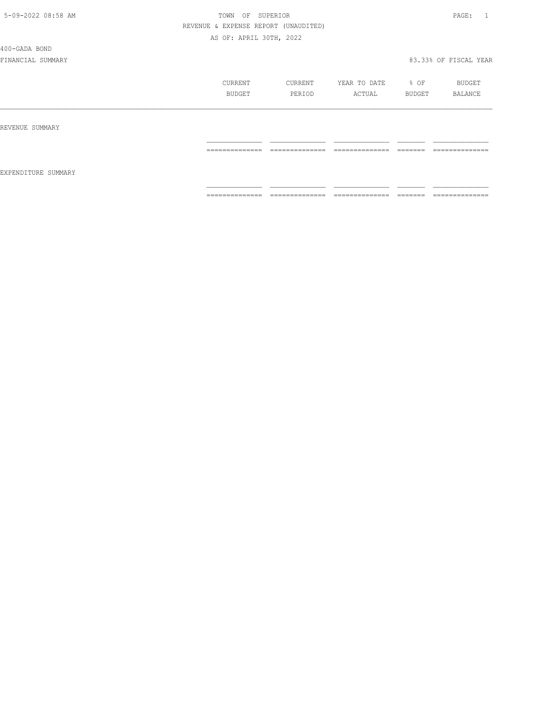400-GADA BOND

|                     | CURRENT<br>BUDGET | CURRENT<br>PERIOD | YEAR TO DATE<br>ACTUAL | % OF<br>BUDGET     | BUDGET<br>BALANCE   |
|---------------------|-------------------|-------------------|------------------------|--------------------|---------------------|
| REVENUE SUMMARY     |                   |                   |                        |                    |                     |
| EXPENDITURE SUMMARY | ==============    | ==============    | ==============         | =======            | ==============      |
|                     | ==============    | ==============    | --------------<br>.    | --------<br>______ | --------------<br>. |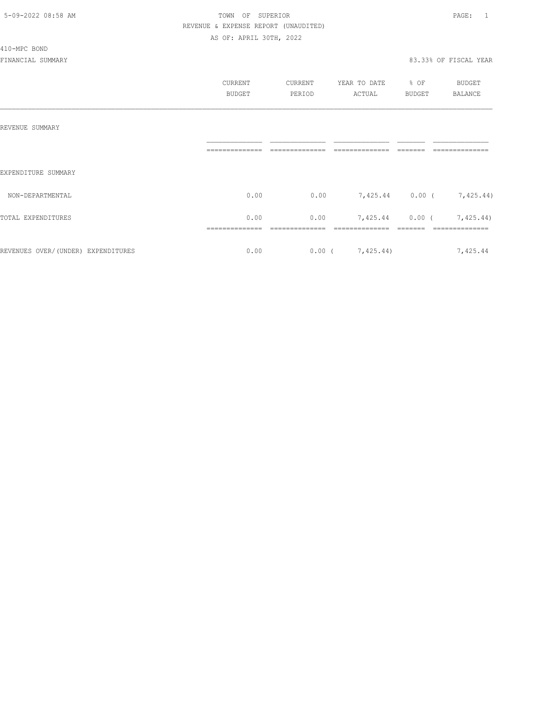#### 410-MPC BOND

|                                    | <b>CURRENT</b><br><b>BUDGET</b> | CURRENT<br>PERIOD | YEAR TO DATE<br>ACTUAL    | % OF<br><b>BUDGET</b> | <b>BUDGET</b><br>BALANCE  |
|------------------------------------|---------------------------------|-------------------|---------------------------|-----------------------|---------------------------|
| REVENUE SUMMARY                    |                                 |                   |                           |                       |                           |
| EXPENDITURE SUMMARY                |                                 |                   |                           |                       |                           |
| NON-DEPARTMENTAL                   | 0.00                            | 0.00              | 7,425.44 0.00 ( 7,425.44) |                       |                           |
| TOTAL EXPENDITURES                 | 0.00                            | 0.00              |                           |                       | 7,425.44 0.00 ( 7,425.44) |
| REVENUES OVER/(UNDER) EXPENDITURES | 0.00                            |                   | $0.00$ ( $7,425.44$ )     |                       | 7,425.44                  |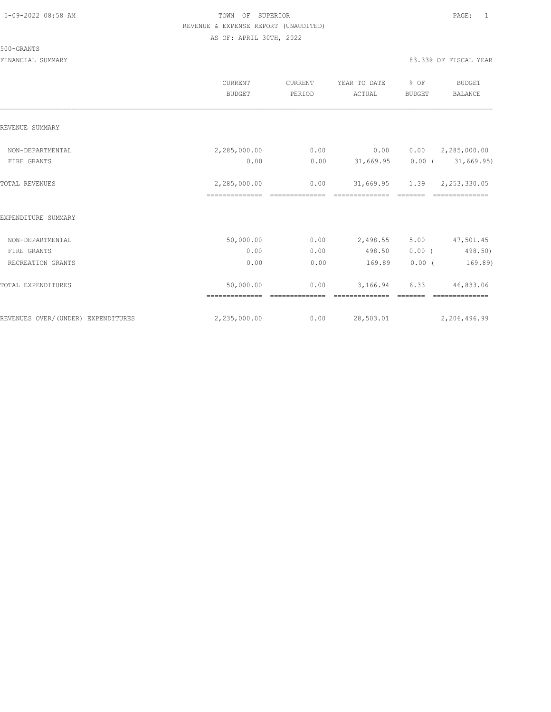#### 500-GRANTS

|                                    | CURRENT<br><b>BUDGET</b> | CURRENT<br>PERIOD      | YEAR TO DATE<br>ACTUAL           | % OF<br><b>BUDGET</b> | BUDGET<br><b>BALANCE</b>   |
|------------------------------------|--------------------------|------------------------|----------------------------------|-----------------------|----------------------------|
| REVENUE SUMMARY                    |                          |                        |                                  |                       |                            |
| NON-DEPARTMENTAL                   | 2,285,000.00             | 0.00                   | 0.00                             |                       | $0.00 \qquad 2,285,000.00$ |
| FIRE GRANTS                        | 0.00                     | 0.00                   | $31,669.95$ 0.00 ( $31,669.95$ ) |                       |                            |
| TOTAL REVENUES                     | 2,285,000.00             | 0.00<br>============== | 31,669.95 1.39 2,253,330.05      |                       |                            |
| EXPENDITURE SUMMARY                |                          |                        |                                  |                       |                            |
| NON-DEPARTMENTAL                   | 50,000.00                | 0.00                   | 2,498.55                         | 5.00                  | 47,501.45                  |
| FIRE GRANTS                        | 0.00                     | 0.00                   | 498.50                           | $0.00$ (              | 498.50)                    |
| RECREATION GRANTS                  | 0.00                     | 0.00                   | 169.89                           | $0.00$ (              | 169.89)                    |
| TOTAL EXPENDITURES                 | 50,000.00                | 0.00                   | 3,166.94                         | 6.33                  | 46,833.06                  |
| REVENUES OVER/(UNDER) EXPENDITURES | 2,235,000.00             | 0.00                   | 28,503.01                        |                       | 2,206,496.99               |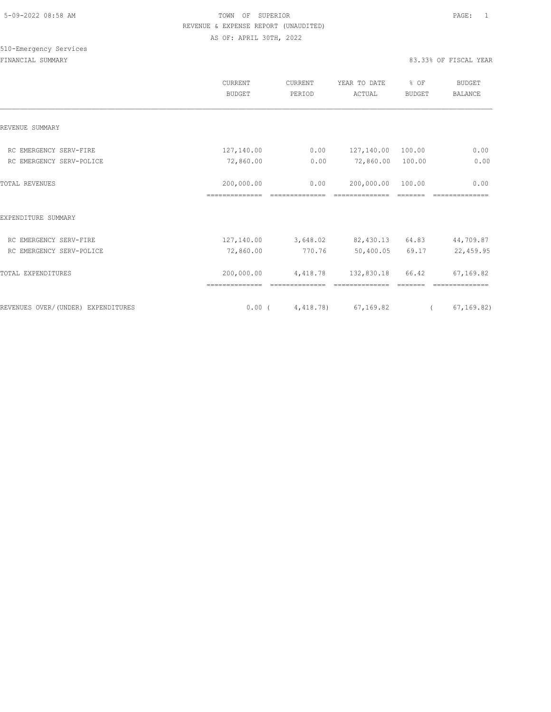# 510-Emergency Services

|                                    | CURRENT<br><b>BUDGET</b>     | CURRENT<br>PERIOD      | YEAR TO DATE<br>ACTUAL | % OF<br><b>BUDGET</b> | <b>BUDGET</b><br><b>BALANCE</b> |
|------------------------------------|------------------------------|------------------------|------------------------|-----------------------|---------------------------------|
| REVENUE SUMMARY                    |                              |                        |                        |                       |                                 |
| RC EMERGENCY SERV-FIRE             | 127,140.00                   | 0.00                   | 127,140.00             | 100.00                | 0.00                            |
| RC EMERGENCY SERV-POLICE           | 72,860.00                    | 0.00                   | 72,860.00              | 100.00                | 0.00                            |
| <b>TOTAL REVENUES</b>              | 200,000.00<br>============== | 0.00<br>============== | 200,000.00             | 100.00                | 0.00                            |
| EXPENDITURE SUMMARY                |                              |                        |                        |                       |                                 |
| RC EMERGENCY SERV-FIRE             | 127,140.00                   | 3,648.02               | 82,430.13 64.83        |                       | 44,709.87                       |
| RC EMERGENCY SERV-POLICE           | 72,860.00                    | 770.76                 | 50,400.05              | 69.17                 | 22,459.95                       |
| TOTAL EXPENDITURES                 | 200,000.00                   | 4,418.78               | 132,830.18             | 66.42                 | 67,169.82                       |
| REVENUES OVER/(UNDER) EXPENDITURES | $0.00$ (                     | 4,418.78)              | 67, 169.82             | $\sqrt{2}$            | 67, 169.82)                     |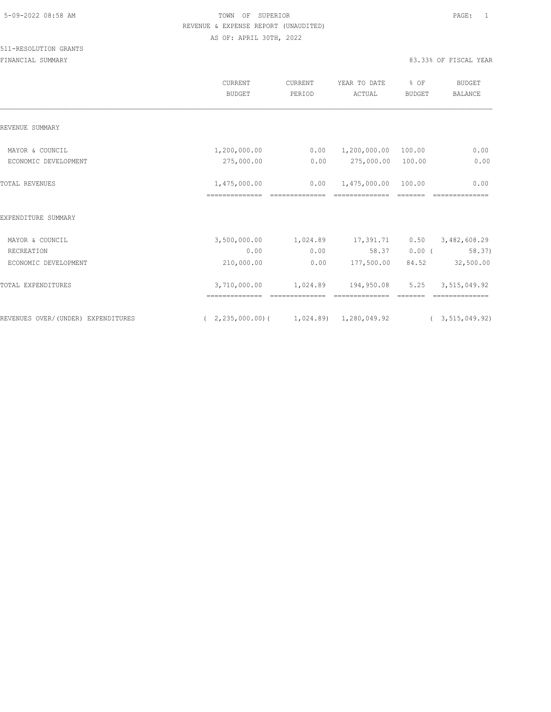|                                    | <b>CURRENT</b><br><b>BUDGET</b>                       | CURRENT<br>PERIOD | YEAR TO DATE<br>ACTUAL | % OF<br><b>BUDGET</b> | <b>BUDGET</b><br>BALANCE |
|------------------------------------|-------------------------------------------------------|-------------------|------------------------|-----------------------|--------------------------|
| REVENUE SUMMARY                    |                                                       |                   |                        |                       |                          |
| MAYOR & COUNCIL                    | 1,200,000.00                                          | 0.00              | 1,200,000.00 100.00    |                       | 0.00                     |
| ECONOMIC DEVELOPMENT               | 275,000.00                                            | 0.00              | 275,000.00 100.00      |                       | 0.00                     |
| <b>TOTAL REVENUES</b>              | 1,475,000.00                                          | 0.00              | 1,475,000.00           | 100.00                | 0.00                     |
| EXPENDITURE SUMMARY                |                                                       |                   |                        |                       |                          |
| MAYOR & COUNCIL                    | 3,500,000.00 1,024.89                                 |                   | 17,391.71              | 0.50                  | 3,482,608.29             |
| RECREATION                         | 0.00                                                  | 0.00              | 58.37                  | $0.00$ (              | 58.37)                   |
| ECONOMIC DEVELOPMENT               | 210,000.00                                            | 0.00              | 177,500.00             | 84.52                 | 32,500.00                |
| TOTAL EXPENDITURES                 | 3,710,000.00                                          |                   | 1,024.89 194,950.08    | 5.25                  | 3,515,049.92             |
| REVENUES OVER/(UNDER) EXPENDITURES | $(2, 235, 000, 00)$ $(1, 024, 89)$ $1, 280, 049, 92)$ |                   |                        |                       | (3, 515, 049.92)         |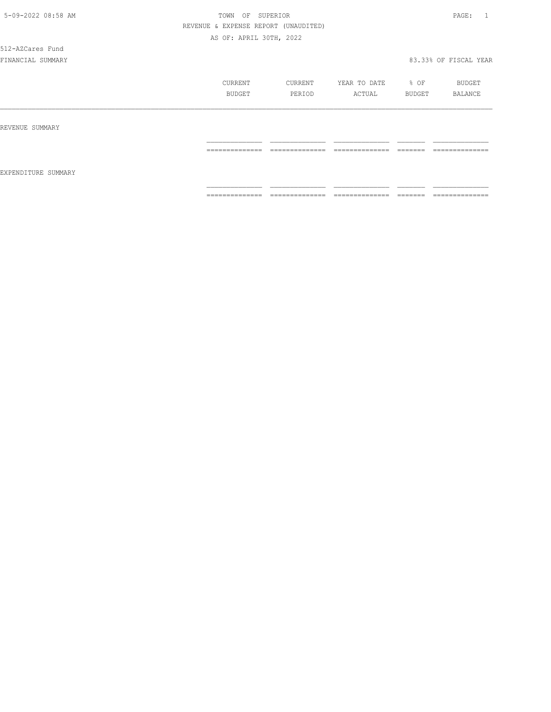512-AZCares Fund

|                     | CURRENT<br>BUDGET | CURRENT<br>PERIOD                | YEAR TO DATE<br>ACTUAL | % OF<br>BUDGET      | BUDGET<br>BALANCE             |
|---------------------|-------------------|----------------------------------|------------------------|---------------------|-------------------------------|
| REVENUE SUMMARY     |                   |                                  |                        |                     |                               |
| EXPENDITURE SUMMARY | ==============    | --------------                   | ---------------        | -------             | --------------<br>----------- |
|                     | ==============    | ---------------<br>------------- | --------------<br>.    | --------<br>------- | --------------<br>.           |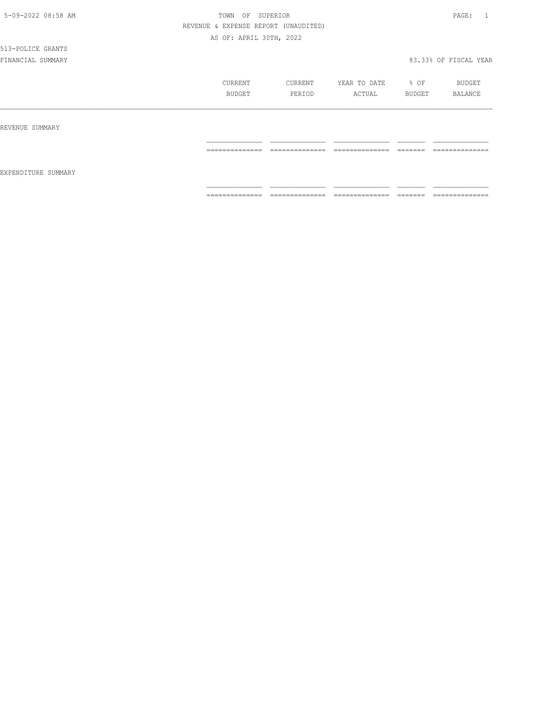# 513-POLICE GRANTS

|                     | CURRENT<br>BUDGET                                                                                                                                                                                                                                                                                                                                                                                                                                                                            | CURRENT<br>PERIOD                 | YEAR TO DATE<br>ACTUAL            | % OF<br>BUDGET      | BUDGET<br>BALANCE                                                                                                                                                                                                                                                                                                                                                                                                                                                                            |
|---------------------|----------------------------------------------------------------------------------------------------------------------------------------------------------------------------------------------------------------------------------------------------------------------------------------------------------------------------------------------------------------------------------------------------------------------------------------------------------------------------------------------|-----------------------------------|-----------------------------------|---------------------|----------------------------------------------------------------------------------------------------------------------------------------------------------------------------------------------------------------------------------------------------------------------------------------------------------------------------------------------------------------------------------------------------------------------------------------------------------------------------------------------|
| REVENUE SUMMARY     |                                                                                                                                                                                                                                                                                                                                                                                                                                                                                              |                                   |                                   |                     |                                                                                                                                                                                                                                                                                                                                                                                                                                                                                              |
| EXPENDITURE SUMMARY | ______________<br>--------------                                                                                                                                                                                                                                                                                                                                                                                                                                                             | ______________<br>--------------- | ______________<br>--------------- | ________<br>------- | ______________<br>----------------                                                                                                                                                                                                                                                                                                                                                                                                                                                           |
|                     | $\begin{array}{c} \multicolumn{2}{c} {\textbf{1}} & \multicolumn{2}{c} {\textbf{2}} & \multicolumn{2}{c} {\textbf{3}} & \multicolumn{2}{c} {\textbf{4}} \\ \multicolumn{2}{c} {\textbf{2}} & \multicolumn{2}{c} {\textbf{3}} & \multicolumn{2}{c} {\textbf{4}} & \multicolumn{2}{c} {\textbf{5}} & \multicolumn{2}{c} {\textbf{6}} \\ \multicolumn{2}{c} {\textbf{4}} & \multicolumn{2}{c} {\textbf{5}} & \multicolumn{2}{c} {\textbf{6}} & \multicolumn{2}{c} {\textbf{6}} & \multicolumn{$ | ______________<br>--------------- | ______________<br>--------------- | ________<br>------- | $\begin{array}{c} \multicolumn{2}{c} {\textbf{1}} & \multicolumn{2}{c} {\textbf{2}} & \multicolumn{2}{c} {\textbf{3}} & \multicolumn{2}{c} {\textbf{4}} \\ \multicolumn{2}{c} {\textbf{5}} & \multicolumn{2}{c} {\textbf{6}} & \multicolumn{2}{c} {\textbf{7}} & \multicolumn{2}{c} {\textbf{8}} & \multicolumn{2}{c} {\textbf{9}} \\ \multicolumn{2}{c} {\textbf{1}} & \multicolumn{2}{c} {\textbf{1}} & \multicolumn{2}{c} {\textbf{1}} & \multicolumn{2}{c} {\textbf{1}} & \multicolumn{$ |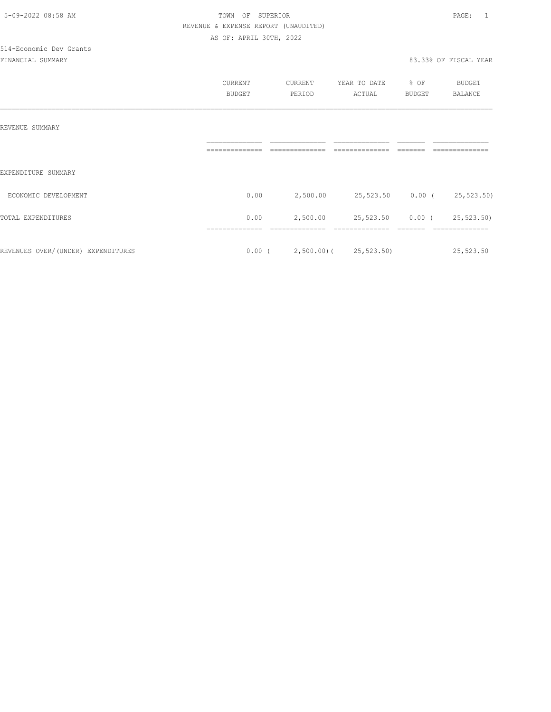|                                    | CURRENT        | CURRENT                         | YEAR TO DATE               | % OF          | BUDGET     |
|------------------------------------|----------------|---------------------------------|----------------------------|---------------|------------|
|                                    | <b>BUDGET</b>  | PERIOD                          | ACTUAL                     | <b>BUDGET</b> | BALANCE    |
|                                    |                |                                 |                            |               |            |
|                                    |                |                                 |                            |               |            |
| REVENUE SUMMARY                    |                |                                 |                            |               |            |
|                                    | -------------- |                                 |                            |               |            |
|                                    |                |                                 |                            |               |            |
| EXPENDITURE SUMMARY                |                |                                 |                            |               |            |
| ECONOMIC DEVELOPMENT               | 0.00           | 2,500.00                        | 25,523.50 0.00 (25,523.50) |               |            |
|                                    |                |                                 |                            |               |            |
| TOTAL EXPENDITURES                 | 0.00           | 2,500.00                        | 25,523.50 0.00 (           |               | 25,523.50) |
|                                    |                |                                 |                            |               |            |
|                                    |                |                                 |                            |               |            |
| REVENUES OVER/(UNDER) EXPENDITURES |                | $0.00$ ( 2,500.00) ( 25,523.50) |                            |               | 25,523.50  |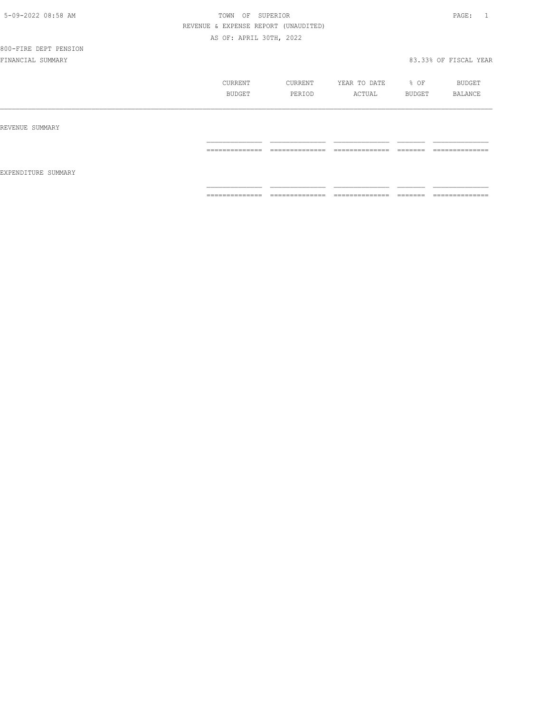# 800-FIRE DEPT PENSION

|                     | CURRENT<br>BUDGET | CURRENT<br>PERIOD   | YEAR TO DATE<br>ACTUAL            | % OF<br>BUDGET                                                                                                                                                                                                                                                                                                                                                                                                                                                                         | BUDGET<br>BALANCE |
|---------------------|-------------------|---------------------|-----------------------------------|----------------------------------------------------------------------------------------------------------------------------------------------------------------------------------------------------------------------------------------------------------------------------------------------------------------------------------------------------------------------------------------------------------------------------------------------------------------------------------------|-------------------|
| REVENUE SUMMARY     |                   |                     |                                   |                                                                                                                                                                                                                                                                                                                                                                                                                                                                                        |                   |
|                     | ==============    | ==============      | ______________<br>--------------- | $\begin{array}{cccccccccccccc} \multicolumn{2}{c}{} & \multicolumn{2}{c}{} & \multicolumn{2}{c}{} & \multicolumn{2}{c}{} & \multicolumn{2}{c}{} & \multicolumn{2}{c}{} & \multicolumn{2}{c}{} & \multicolumn{2}{c}{} & \multicolumn{2}{c}{} & \multicolumn{2}{c}{} & \multicolumn{2}{c}{} & \multicolumn{2}{c}{} & \multicolumn{2}{c}{} & \multicolumn{2}{c}{} & \multicolumn{2}{c}{} & \multicolumn{2}{c}{} & \multicolumn{2}{c}{} & \multicolumn{2}{c}{} & \multicolumn{2}{c}{} & \$ | ==============    |
| EXPENDITURE SUMMARY |                   |                     |                                   |                                                                                                                                                                                                                                                                                                                                                                                                                                                                                        |                   |
|                     | ==============    | --------------<br>. | ______________<br>.               | --------<br>------                                                                                                                                                                                                                                                                                                                                                                                                                                                                     | ==============    |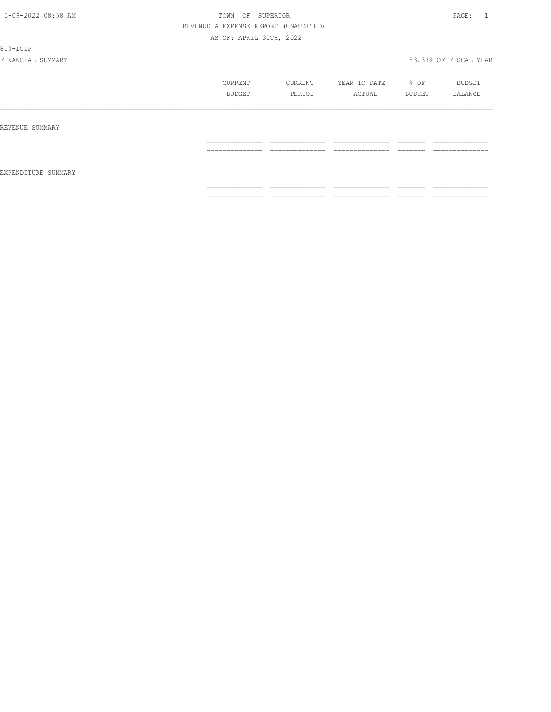810-LGIP

|                     | CURRENT<br>BUDGET | CURRENT<br>PERIOD   | YEAR TO DATE<br>ACTUAL | % OF<br>BUDGET      | BUDGET<br>BALANCE                |
|---------------------|-------------------|---------------------|------------------------|---------------------|----------------------------------|
| REVENUE SUMMARY     |                   |                     |                        |                     |                                  |
|                     | ==============    | ______________<br>. | ==============         | -------<br>-------  | ---------------<br>------------- |
| EXPENDITURE SUMMARY |                   |                     |                        |                     |                                  |
|                     | ==============    | ==============      | ==============         | --------<br>------- | --------------                   |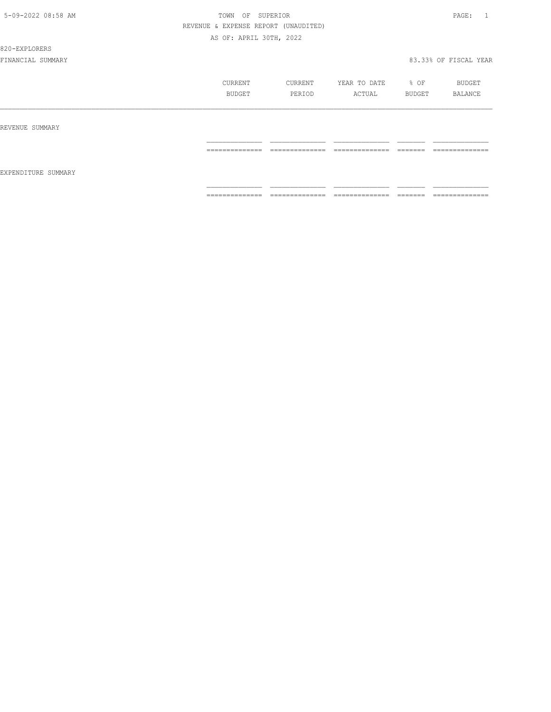#### 820-EXPLORERS

|                     | CURRENT<br><b>BUDGET</b> | CURRENT<br>PERIOD                 | YEAR TO DATE<br>ACTUAL             | % OF<br>BUDGET                                                                                                                                                                                                                                                                                                                                                                                                                                                                         | BUDGET<br><b>BALANCE</b>         |
|---------------------|--------------------------|-----------------------------------|------------------------------------|----------------------------------------------------------------------------------------------------------------------------------------------------------------------------------------------------------------------------------------------------------------------------------------------------------------------------------------------------------------------------------------------------------------------------------------------------------------------------------------|----------------------------------|
| REVENUE SUMMARY     |                          |                                   |                                    |                                                                                                                                                                                                                                                                                                                                                                                                                                                                                        |                                  |
|                     | ==============           | ==============                    | ==============                     | $\begin{array}{cccccccccc} \multicolumn{2}{c}{} & \multicolumn{2}{c}{} & \multicolumn{2}{c}{} & \multicolumn{2}{c}{} & \multicolumn{2}{c}{} & \multicolumn{2}{c}{} & \multicolumn{2}{c}{} & \multicolumn{2}{c}{} & \multicolumn{2}{c}{} & \multicolumn{2}{c}{} & \multicolumn{2}{c}{} & \multicolumn{2}{c}{} & \multicolumn{2}{c}{} & \multicolumn{2}{c}{} & \multicolumn{2}{c}{} & \multicolumn{2}{c}{} & \multicolumn{2}{c}{} & \multicolumn{2}{c}{} & \multicolumn{2}{c}{} & \mult$ | ==============                   |
| EXPENDITURE SUMMARY | ==============           | --------------<br>--------------- | ---------------<br>--------------- | --------<br>-------                                                                                                                                                                                                                                                                                                                                                                                                                                                                    | --------------<br>-------------- |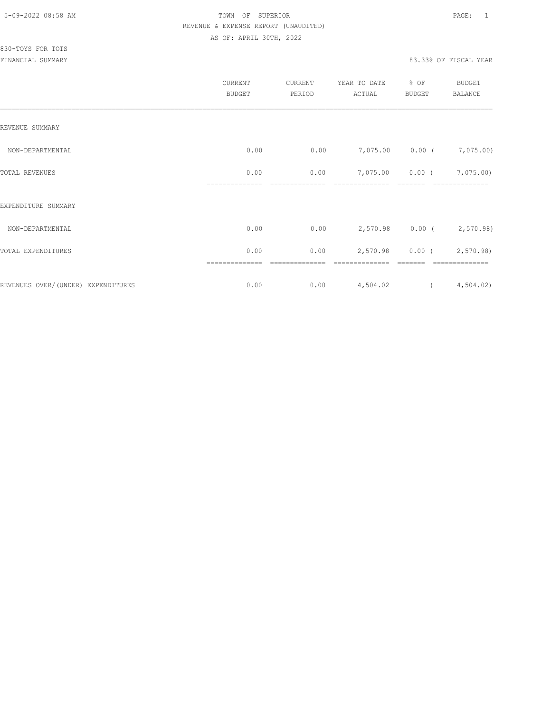|                                     | CURRENT<br><b>BUDGET</b> | CURRENT<br>PERIOD | YEAR TO DATE<br>ACTUAL | % OF<br><b>BUDGET</b>                                                                                                                                                                                                                                                                                                              | BUDGET<br><b>BALANCE</b>  |
|-------------------------------------|--------------------------|-------------------|------------------------|------------------------------------------------------------------------------------------------------------------------------------------------------------------------------------------------------------------------------------------------------------------------------------------------------------------------------------|---------------------------|
| REVENUE SUMMARY                     |                          |                   |                        |                                                                                                                                                                                                                                                                                                                                    |                           |
| NON-DEPARTMENTAL                    | 0.00                     | 0.00              |                        |                                                                                                                                                                                                                                                                                                                                    | 7,075.00 0.00 ( 7,075.00) |
| TOTAL REVENUES                      | 0.00                     | 0.00              | 7,075.00               | 0.00(                                                                                                                                                                                                                                                                                                                              | 7,075.00)                 |
| EXPENDITURE SUMMARY                 |                          |                   |                        |                                                                                                                                                                                                                                                                                                                                    |                           |
| NON-DEPARTMENTAL                    | 0.00                     | 0.00              |                        |                                                                                                                                                                                                                                                                                                                                    | 2,570.98 0.00 ( 2,570.98) |
| TOTAL EXPENDITURES                  | 0.00                     | 0.00              | 2,570.98               |                                                                                                                                                                                                                                                                                                                                    | $0.00$ ( 2,570.98)        |
| REVENUES OVER/ (UNDER) EXPENDITURES | 0.00                     | 0.00              | 4,504.02               | $\overline{a}$ and $\overline{a}$ and $\overline{a}$ and $\overline{a}$ and $\overline{a}$ and $\overline{a}$ and $\overline{a}$ and $\overline{a}$ and $\overline{a}$ and $\overline{a}$ and $\overline{a}$ and $\overline{a}$ and $\overline{a}$ and $\overline{a}$ and $\overline{a}$ and $\overline{a}$ and $\overline{a}$ and | 4,504.02)                 |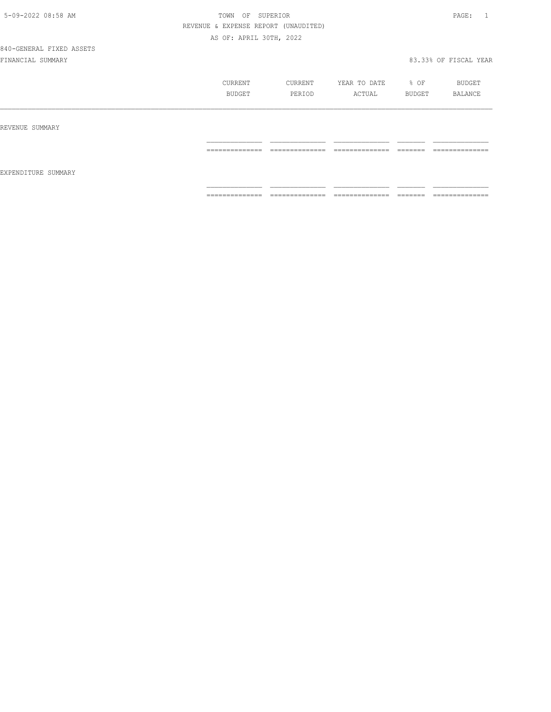840-GENERAL FIXED ASSETS

|                     | CURRENT<br><b>BUDGET</b>                                                                                                                                                                                                                                                                                                                                                                                                                                                                     | CURRENT<br>PERIOD                                                                                                                                                                                                                                                                                                                                                                                                                                                                      | YEAR TO DATE<br>ACTUAL                                                                                                                                                                                                                                                                                                                                                                                                                                                                 | % OF<br>BUDGET       | BUDGET<br>BALANCE                |
|---------------------|----------------------------------------------------------------------------------------------------------------------------------------------------------------------------------------------------------------------------------------------------------------------------------------------------------------------------------------------------------------------------------------------------------------------------------------------------------------------------------------------|----------------------------------------------------------------------------------------------------------------------------------------------------------------------------------------------------------------------------------------------------------------------------------------------------------------------------------------------------------------------------------------------------------------------------------------------------------------------------------------|----------------------------------------------------------------------------------------------------------------------------------------------------------------------------------------------------------------------------------------------------------------------------------------------------------------------------------------------------------------------------------------------------------------------------------------------------------------------------------------|----------------------|----------------------------------|
| REVENUE SUMMARY     |                                                                                                                                                                                                                                                                                                                                                                                                                                                                                              |                                                                                                                                                                                                                                                                                                                                                                                                                                                                                        |                                                                                                                                                                                                                                                                                                                                                                                                                                                                                        |                      |                                  |
|                     | --------------<br>.                                                                                                                                                                                                                                                                                                                                                                                                                                                                          | --------------<br>_______________                                                                                                                                                                                                                                                                                                                                                                                                                                                      | ---------------<br>_______________                                                                                                                                                                                                                                                                                                                                                                                                                                                     | --------<br>________ | --------------<br>______________ |
| EXPENDITURE SUMMARY |                                                                                                                                                                                                                                                                                                                                                                                                                                                                                              |                                                                                                                                                                                                                                                                                                                                                                                                                                                                                        |                                                                                                                                                                                                                                                                                                                                                                                                                                                                                        |                      |                                  |
|                     | $\begin{array}{c} \multicolumn{2}{c} {\textbf{1}} & \multicolumn{2}{c} {\textbf{2}} & \multicolumn{2}{c} {\textbf{3}} & \multicolumn{2}{c} {\textbf{4}} \\ \multicolumn{2}{c} {\textbf{2}} & \multicolumn{2}{c} {\textbf{3}} & \multicolumn{2}{c} {\textbf{4}} & \multicolumn{2}{c} {\textbf{5}} & \multicolumn{2}{c} {\textbf{6}} \\ \multicolumn{2}{c} {\textbf{4}} & \multicolumn{2}{c} {\textbf{5}} & \multicolumn{2}{c} {\textbf{6}} & \multicolumn{2}{c} {\textbf{6}} & \multicolumn{$ | $\begin{array}{cccccccccc} \multicolumn{2}{c}{} & \multicolumn{2}{c}{} & \multicolumn{2}{c}{} & \multicolumn{2}{c}{} & \multicolumn{2}{c}{} & \multicolumn{2}{c}{} & \multicolumn{2}{c}{} & \multicolumn{2}{c}{} & \multicolumn{2}{c}{} & \multicolumn{2}{c}{} & \multicolumn{2}{c}{} & \multicolumn{2}{c}{} & \multicolumn{2}{c}{} & \multicolumn{2}{c}{} & \multicolumn{2}{c}{} & \multicolumn{2}{c}{} & \multicolumn{2}{c}{} & \multicolumn{2}{c}{} & \multicolumn{2}{c}{} & \mult$ | $\begin{array}{cccccccccc} \multicolumn{2}{c}{} & \multicolumn{2}{c}{} & \multicolumn{2}{c}{} & \multicolumn{2}{c}{} & \multicolumn{2}{c}{} & \multicolumn{2}{c}{} & \multicolumn{2}{c}{} & \multicolumn{2}{c}{} & \multicolumn{2}{c}{} & \multicolumn{2}{c}{} & \multicolumn{2}{c}{} & \multicolumn{2}{c}{} & \multicolumn{2}{c}{} & \multicolumn{2}{c}{} & \multicolumn{2}{c}{} & \multicolumn{2}{c}{} & \multicolumn{2}{c}{} & \multicolumn{2}{c}{} & \multicolumn{2}{c}{} & \mult$ |                      | ==============                   |